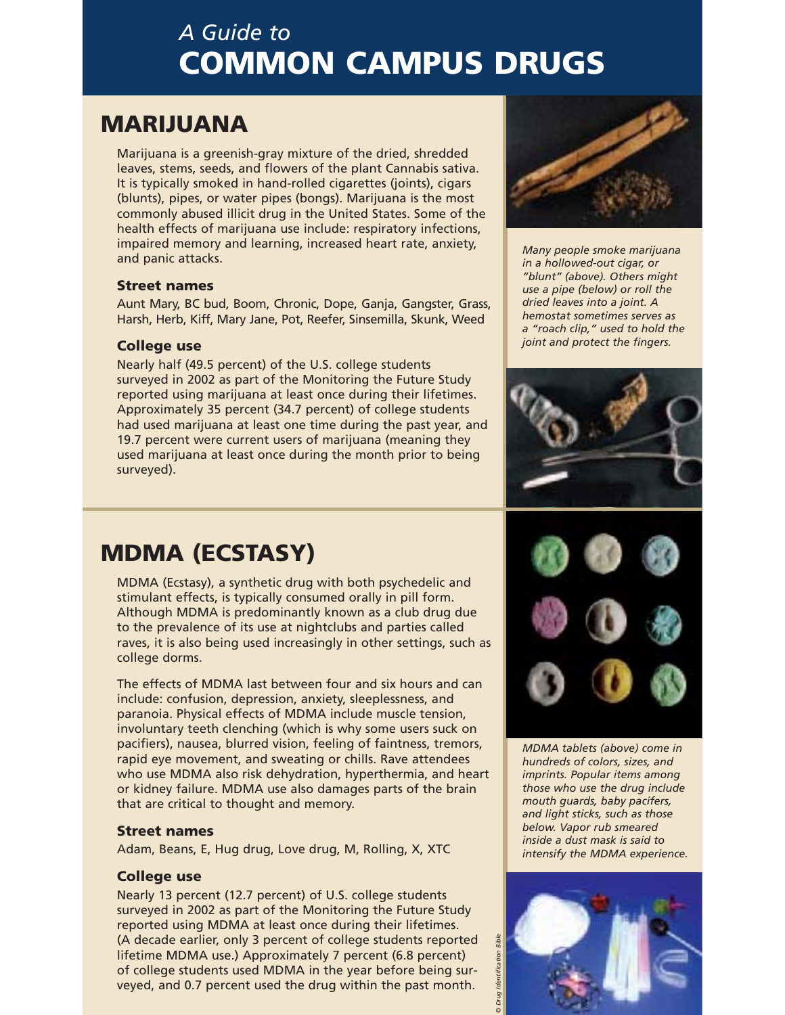# *A Guide to*  **COMMUNISTICITIES**

## **MARIJUANA**

**MARIJUANA** Marijuana is a greenish-gray mixture of the dried, shredded leaves, stems, seeds, and flowers of the plant Cannabis sativa. It is typically smoked in hand-rolled cigarettes (joints), cigars (blunts), pipes, or water pipes (bongs). Marijuana is the most commonly abused illicit drug in the United States. Some of the health effects of marijuana use include: respiratory infections, impaired memory and learning, increased heart rate, anxiety, and panic attacks.

### **Street names**

**Street names** Aunt Mary, BC bud, Boom, Chronic, Dope, Ganja, Gangster, Grass, Harsh, Herb, Kiff, Mary Jane, Pot, Reefer, Sinsemilla, Skunk, Weed

**College use** Nearly half (49.5 percent) of the U.S. college students surveyed in 2002 as part of the Monitoring the Future Study reported using marijuana at least once during their lifetimes. Approximately 35 percent (34.7 percent) of college students had used marijuana at least one time during the past year, and 19.7 percent were current users of marijuana (meaning they used marijuana at least once during the month prior to being surveyed).



*Many people smoke marijuana in a hollowed-out cigar, or "blunt" (above). Others might use a pipe (below) or roll the dried leaves into a joint. A hemostat sometimes serves as a "roach clip," used to hold the joint and protect the fingers.*



**MDMA (ECSTASY)** MDMA (Ecstasy), a synthetic drug with both psychedelic and stimulant effects, is typically consumed orally in pill form. Although MDMA is predominantly known as a club drug due to the prevalence of its use at nightclubs and parties called raves, it is also being used increasingly in other settings, such as college dorms.

The effects of MDMA last between four and six hours and can include: confusion, depression, anxiety, sleeplessness, and paranoia. Physical effects of MDMA include muscle tension, involuntary teeth clenching (which is why some users suck on pacifiers), nausea, blurred vision, feeling of faintness, tremors, rapid eye movement, and sweating or chills. Rave attendees who use MDMA also risk dehydration, hyperthermia, and heart or kidney failure. MDMA use also damages parts of the brain that are critical to thought and memory.

**Street names** Adam, Beans, E, Hug drug, Love drug, M, Rolling, X, XTC

**College use** Nearly 13 percent (12.7 percent) of U.S. college students surveyed in 2002 as part of the Monitoring the Future Study reported using MDMA at least once during their lifetimes. (A decade earlier, only 3 percent of college students reported lifetime MDMA use.) Approximately 7 percent (6.8 percent) of college students used MDMA in the year before being surveyed, and 0.7 percent used the drug within the past month.



*MDMA tablets (above) come in hundreds of colors, sizes, and imprints. Popular items among those who use the drug include mouth guards, baby pacifers, and light sticks, such as those below. Vapor rub smeared inside a dust mask is said to intensify the MDMA experience.*

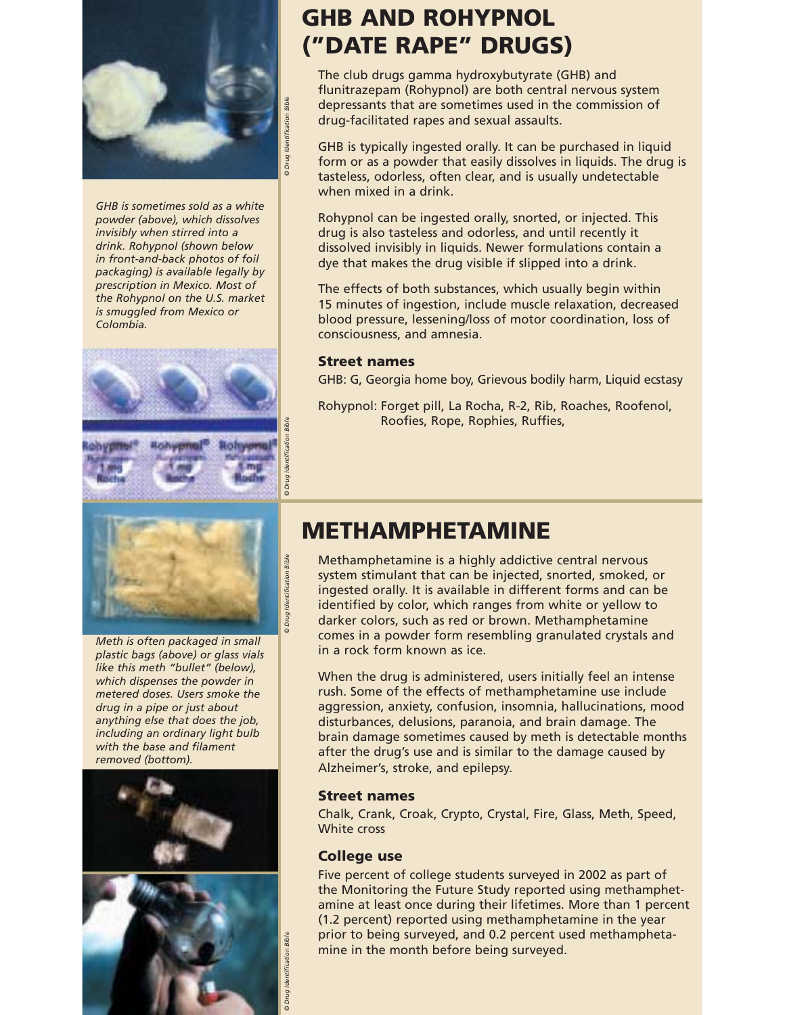

*GHB is sometimes sold as a white invisibly when stirred into a drink. Rohypnol (shown below in front-and-back photos of foil packaging) is available legally by prescription in Mexico. Most of the Rohypnol on the U.S. market is smuggled from Mexico or Colombia. powder (above), which dissolves*





*Meth is often packaged in small plastic bags (above) or glass vials like this meth "bullet" (below), which dispenses the powder in metered doses. Users smoke the drug in a pipe or just about anything else that does the job, including an ordinary light bulb with the base and filament removed (bottom).*





## **GHB AND ROHYPNOL ("DATE RAPE" DRUGS)**

The club drugs gamma hydroxybutyrate (GHB) and flunitrazepam (Rohypnol) are both central nervous system depressants that are sometimes used in the commission of drug-facilitated rapes and sexual assaults.

form or as a powder that easily dissolves in liquids. The drug is when mixed in a drink. GHB is typically ingested orally. It can be purchased in liquid tasteless, odorless, often clear, and is usually undetectable

drug is also tasteless and odorless, and until recently it dissolved invisibly in liquids. Newer formulations contain a dye that makes the drug visible if slipped into a drink. Rohypnol can be ingested orally, snorted, or injected. This

15 minutes of ingestion, include muscle relaxation, decreased blood pressure, lessening/loss of motor coordination, loss of consciousness, and amnesia. The effects of both substances, which usually begin within

### **Street names**

*© Drug Identification Bible*

*© Drug Identification Bible*

© Drug

dentification Bible

*© Drug Identification Bible*

**Street names** GHB: G, Georgia home boy, Grievous bodily harm, Liquid ecstasy

Rohypnol: Forget pill, La Rocha, R-2, Rib, Roaches, Roofenol, Roofies, Rope, Rophies, Ruffies,

## **METHAMPHETAMINE**

Methamphetamine is a highly addictive central nervous system stimulant that can be injected, snorted, smoked, or darker colors, such as red or brown. Methamphetamine comes in a powder form resembling granulated crystals and in a rock form known as ice. ingested orally. It is available in different forms and can be identified by color, which ranges from white or yellow to

When the drug is administered, users initially feel an intense disturbances, delusions, paranoia, and brain damage. The brain damage sometimes caused by meth is detectable months rush. Some of the effects of methamphetamine use include aggression, anxiety, confusion, insomnia, hallucinations, mood after the drug's use and is similar to the damage caused by Alzheimer's, stroke, and epilepsy.

### **Street names**

Chalk, Crank, Croak, Crypto, Crystal, Fire, Glass, Meth, Speed, **Street names** White cross

**College use** Five percent of college students surveyed in 2002 as part of the Monitoring the Future Study reported using methamphetamine at least once during their lifetimes. More than 1 percent (1.2 percent) reported using methamphetamine in the year prior to being surveyed, and 0.2 percent used methamphetamine in the month before being surveyed.